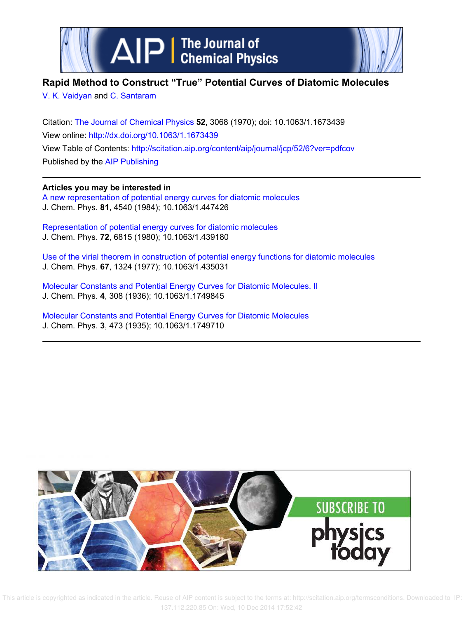



# **Rapid Method to Construct "True" Potential Curves of Diatomic Molecules**

V. K. Vaidyan and C. Santaram

Citation: The Journal of Chemical Physics **52**, 3068 (1970); doi: 10.1063/1.1673439 View online: http://dx.doi.org/10.1063/1.1673439 View Table of Contents: http://scitation.aip.org/content/aip/journal/jcp/52/6?ver=pdfcov Published by the AIP Publishing

**Articles you may be interested in** A new representation of potential energy curves for diatomic molecules J. Chem. Phys. **81**, 4540 (1984); 10.1063/1.447426

Representation of potential energy curves for diatomic molecules J. Chem. Phys. **72**, 6815 (1980); 10.1063/1.439180

Use of the virial theorem in construction of potential energy functions for diatomic molecules J. Chem. Phys. **67**, 1324 (1977); 10.1063/1.435031

Molecular Constants and Potential Energy Curves for Diatomic Molecules. II J. Chem. Phys. **4**, 308 (1936); 10.1063/1.1749845

Molecular Constants and Potential Energy Curves for Diatomic Molecules J. Chem. Phys. **3**, 473 (1935); 10.1063/1.1749710



 This article is copyrighted as indicated in the article. Reuse of AIP content is subject to the terms at: http://scitation.aip.org/termsconditions. Downloaded to IP: 137.112.220.85 On: Wed, 10 Dec 2014 17:52:42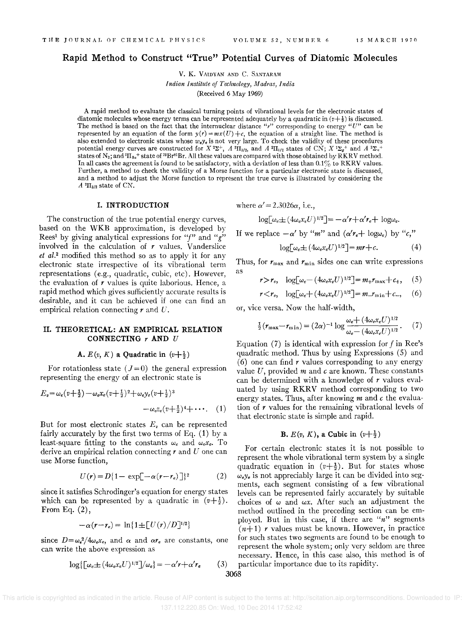# Rapid Method to Construct "True" Potential Curves of Diatomic Molecules

V. K. VA!DYAN AND C. SANTARAM *Indian Institute of Technology, Madras, India*  (Received 6 May 1969)

A rapid method to evaluate the classical turning points of vibrational levels for the electronic states of diatomic molecules whose energy terms can be represented adequately by a quadratic in  $(v+1)$  is discussed. The method is based on the fact that the internuclear distance *"r"* corresponding to energy *"U"* can be represented by an equation of the form  $y(r) = mx(U) + c$ , the equation of a straight line. The method is also extended to electronic states whose *w.y.* is not very large. To check the validity of these procedures potential energy curves are constructed for  $X$  <sup>2</sup> $\Sigma^+$ ,  $A$  <sup>2</sup> $\Pi_{3/2}$ , and  $A$  <sup>2</sup> $\Pi_{1/2}$  states of CN;  $X$  <sup>1</sup> $\Sigma_q$ <sup>+</sup> and  $A$  <sup>2</sup> $\Sigma_q$ <sup>+</sup> states of  $N_2$ ; and  ${}^{3}$ II<sub>0u</sub>+ state of <sup>79</sup>Br<sup>81</sup>Br. All these values are compared with those obtained by RKRV method. In all cases the agreement is found to be satisfactory, with a deviation of less than  $0.1\%$  to RKRV values. Further, a method to check the validity of a Morse function for a particular electronic state is discussed, and a method to adjust the Morse function to represent the true curve is illustrated by considering the  $A$ <sup>2</sup>II<sub>3/2</sub> state of CN.

# I. INTRODUCTION

The construction of the true potential energy curves, based on the WKB approximation, is developed by Rees<sup>1</sup> by giving analytical expressions for "f" and "g" involved in the calculation of  $r$  values. Vanderslice *et al.<sup>2</sup>*modified this method so as to apply it for any electronic state irrespective of its vibrational term representations (e.g., quadratic, cubic, etc). However, the evaluation of *r* values is quite laborious. Hence, a rapid method which gives sufficiently accurate results is desirable, and it can be achieved if one can find an empirical relation connecting  $r$  and  $U$ .

# II. THEORETICAL: AN EMPIRICAL RELATION CONNECTING rAND *U*

#### A.  $E(v, K)$  a Quadratic in  $(v+\frac{1}{2})$

For rotationless state  $(J=0)$  the general expression representing the energy of an electronic state is

$$
E_v = \omega_e(v + \frac{1}{2}) - \omega_e x_e(v + \frac{1}{2})^2 + \omega_e y_e(v + \frac{1}{2})^3
$$
  

$$
-\omega_e z_e(v + \frac{1}{2})^4 + \cdots
$$
 (1)

But for most electronic states  $E<sub>v</sub>$  can be represented fairly accurately by the first two terms of Eq.  $(1)$  by a least-square fitting to the constants  $\omega_e$  and  $\omega_e x_e$ . To derive an empirical relation connecting  $r$  and  $U$  one can use Morse function,

$$
U(r) = D\{1 - \exp[-\alpha(r - r_e)]\}^2
$$
 (2)

since it satisfies Schrodinger's equation for energy states which can be represented by a quadratic in  $(v+\frac{1}{2})$ . From Eq.  $(2)$ ,

$$
-\alpha(r-r_e) = \ln\{1 \pm [U(r)/D]^{1/2}\}
$$

since  $D=\omega_e^2/4\omega_e x_e$ , and  $\alpha$  and  $\alpha r_e$  are constants, one can write the above expression as

$$
\log\left[\omega_e \pm (4\omega_e x_e U)^{1/2}\right]/\omega_e\} = -\alpha' r + \alpha' r_e \tag{3}
$$

where  $\alpha' = 2.3026\alpha$ , i.e.,

$$
\log[\omega_e \pm (4\omega_e x_e U)^{1/2}] = -\alpha' r + \alpha' r_e + \log \omega_e.
$$

If we replace  $-\alpha'$  by "m" and  $(\alpha' r_e + \log \omega_e)$  by "c,"

$$
\log[\omega_e \pm (4\omega_e x_e U)^{1/2}] = mr + c. \tag{4}
$$

Thus, for  $r_{\text{max}}$  and  $r_{\text{min}}$  sides one can write expressions as

$$
r>r_e, \quad \log[\omega_e-(4\omega_e x_e U)^{1/2}]=m_+r_{\max}+c_+, \quad (5)
$$

$$
r < r_e, \quad \log[\omega_e + (4\omega_e x_e U)^{1/2}] = m_r r_{\min} + c_r, \quad (6)
$$

or, vice versa. Now the half-width,

$$
\frac{1}{2}(\mathbf{r}_{\max} - \mathbf{r}_{\min}) = (2\alpha)^{-1} \log \frac{\omega_e + (4\omega_e x_e U)^{1/2}}{\omega_e - (4\omega_e x_e U)^{1/2}}. \tag{7}
$$

Equation  $(7)$  is identical with expression for f in Ree's quadratic method. Thus by using Expressions (5) and (6) one can find *r* values corresponding to any energy value U, provided *m* and *e* are known. These constants can be determined with a knowledge of *r* values evaluated by using RKRV method corresponding to two energy states. Thus, after knowing *m* and *e* the evaluation of *r* values for the remaining vibrational levels of that electronic state is simple and rapid.

### **B.**  $E(v, K)$ , a Cubic in  $(v+\frac{1}{2})$

For certain electronic states it is not possible to represent the whole vibrational term system by a single quadratic equation in  $(v+\frac{1}{2})$ . But for states whose  $\omega_e v_e$  is not appreciably large it can be divided into segments, each segment consisting of a few vibrational levels can be represented fairly accurately by suitable choices of  $\omega$  and  $\omega x$ . After such an adjustment the method outlined in the preceding section can be employed. But in this case, if there are *"n"* segments  $(n+1)$  *r* values must be known. However, in practice for such states two segments are found to be enough to represent the whole system; only very seldom are three necessary. Hence, in this case also, this method is of ) particular importance due to its rapidity.

3068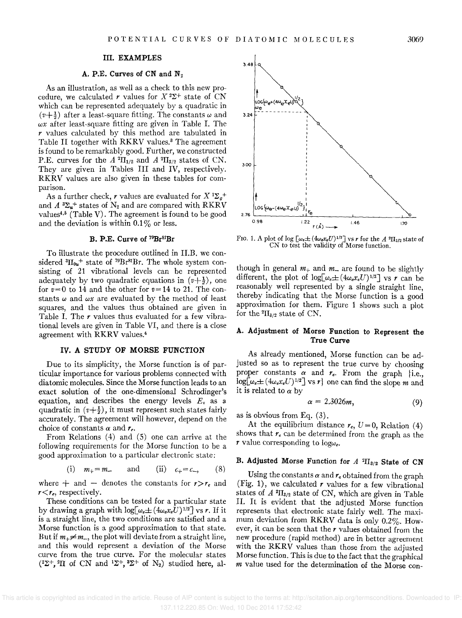#### III. EXAMPLES

### A. P.E. Curves of CN and  $N_2$

As an illustration, as well as a check to this new procedure, we calculated *r* values for  $X^2\Sigma^+$  state of CN which can be represented adequately by a quadratic in  $(v+\frac{1}{2})$  after a least-square fitting. The constants  $\omega$  and  $\omega x$  after least-square fitting are given in Table I. The *r* values calculated by this method are tabulated in Table II together with RKRV values.<sup>3</sup> The agreement is found to be remarkably good. Further, we constructed P.E. curves for the  $A^2\Pi_{1/2}$  and  $A^2\Pi_{3/2}$  states of CN. They are given in Tables III and IV, respectively. RKRV values are also given in these tables for comparison.

As a further check, r values are evaluated for  $X^1\Sigma_g^+$ and  $A^3\Sigma_u^+$  states of  $N_2$  and are compared with RKRV values<sup>4,5</sup> (Table V). The agreement is found to be good and the deviation is within  $0.1\%$  or less.

### B. P.E. Curve of 79Br81Br

To illustrate the procedure outlined in II.B. we considered  ${}^{3}H_{0u}{}^{+}$  state of  ${}^{79}Br^{81}Br$ . The whole system consisting of 21 vibrational levels can be represented adequately by two quadratic equations in  $(v+\frac{1}{2})$ , one for  $v=0$  to 14 and the other for  $v=14$  to 21. The constants  $\omega$  and  $\omega x$  are evaluated by the method of least squares, and the values thus obtained are given in Table I. The  $r$  values thus evaluated for a few vibrational levels are given in Table VI, and there is a close agreement with RKRV values.<sup>4</sup>

# IV. A STUDY OF MORSE FUNCTION

Due to its simplicity, the Morse function is of particular importance for various problems connected with diatomic molecules. Since the Morse function leads to an exact solution of the one-dimensional Schrodinger's equation, and describes the energy levels  $E<sub>v</sub>$  as a quadratic in  $(v+\frac{1}{2})$ , it must represent such states fairly accurately. The agreement will however, depend on the choice of constants  $\alpha$  and  $r_{e}$ .

From Relations (4) and (5) one can arrive at the following requirements for the Morse function to be a good approximation to a particular electronic state:

(i) 
$$
m_+ = m_-
$$
 and (ii)  $c_+ = c_-$ , (8)

where  $+$  and  $-$  denotes the constants for  $r > r_e$  and  $r < r_e$ , respectively.

These conditions can be tested for a particular state by drawing a graph with  $log[\omega_e \pm (4\omega_e x_e U)^{1/2}]$  vs *r*. If it is a straight line, the two conditions are satisfied and a Morse function is a good approximation to that state. But if  $m_{+} \neq m_{-}$ , the plot will deviate from a straight line. and this would represent a deviation of the Morse curve from the true curve. For the molecular states  $(2\Sigma^+,{}^{2}\Pi$  of CN and  ${}^{1}\Sigma^+, {}^{3}\Sigma^+$  of N<sub>2</sub>) studied here, al-



FIG. 1. A plot of log  $\left[\omega_e \pm (4\omega_e x_e U)^{1/2}\right]$  vs *r* for the *A* <sup>2</sup>H<sub>3/2</sub> state of CN to test the validity of Morse function.

though in general  $m_+$  and  $m_-$  are found to be slightly different, the plot of  $log[\omega_e \pm (4\omega_e x_e U)^{1/2}]$  vs *r* can be reasonably well represented by a single straight line, thereby indicating that the Morse function is a good approximation for them. Figure 1 shows such a plot for the  ${}^{2}H_{3/2}$  state of CN.

# A. Adjustment of Morse Function to Represent the True Curve

As already mentioned, Morse function can be adjusted so as to represent the true curve by choosing proper constants  $\alpha$  and  $r_e$ . From the graph {i.e.,  $\log[\omega_e \pm (4\omega_e x_e U)^{1/2}]$  vs r one can find the slope m and it is related to  $\alpha$  by

$$
\alpha = 2.3026m, \tag{9}
$$

as is obvious from Eq. (3).

At the equilibrium distance  $r_e$ ,  $U=0$ , Relation (4) shows that *re* can be determined from the graph as the *r* value corresponding to  $log\omega_e$ .

### B. Adjusted Morse Function for *A* <sup>2</sup> $\Pi_{3/2}$  State of CN

Using the constants  $\alpha$  and  $r_e$  obtained from the graph (Fig. 1), we calculated  $r$  values for a few vibrational states of  $A^2\Pi_{3/2}$  state of CN, which are given in Table II. It is evident that the adjusted Morse function represents that electronic state fairly well. The maximum deviation from RKRV data is only 0.2%. However, it can be seen that the *r* values obtained from the new procedure (rapid method) are in better agreement with the RKRV values than those from the adjusted Morse function. This is due to the fact that the graphical *m* value used for the determination of the Morse con-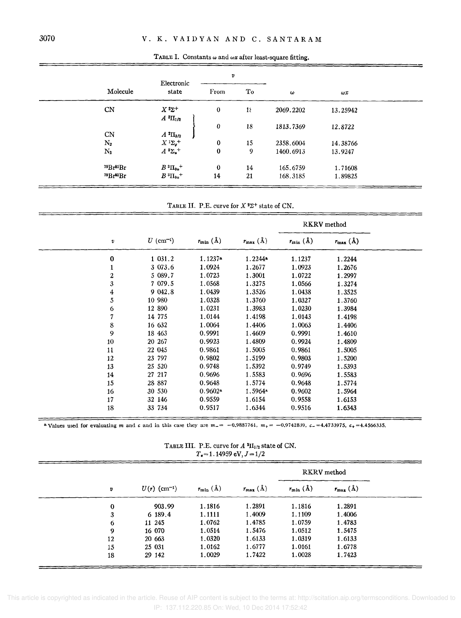|                  | Electronic                        | $\pmb{v}$ |             |           |            |
|------------------|-----------------------------------|-----------|-------------|-----------|------------|
| Molecule         | state                             | From      | Тo          | $\omega$  | $\omega x$ |
| CN               | $X^2\Sigma^+$<br>$A^{2}\Pi_{1/2}$ | $\bf{0}$  | $1\epsilon$ | 2069.2202 | 13.25942   |
| CN               | $A^{2}\Pi_{3/2}$                  | 0         | 18          | 1813.7369 | 12.8722    |
| $\mathrm{N}_2$   | $X$ $^1\Sigma_g{}^+$              | $\bf{0}$  | 15          | 2358,6004 | 14.38766   |
| $\rm N_2$        | $A^3\Sigma_u^+$                   | $\bf{0}$  | 9           | 1460.6913 | 13.9247    |
| $^{79}Br^{81}Br$ | $B^{3}\Pi_{0u}$ <sup>+</sup>      | $\bf{0}$  | 14          | 165.6759  | 1.71608    |
| $^{79}Br^{81}Br$ | $B^3\Pi_{0u}$ <sup>+</sup>        | 14        | 21          | 168.3185  | 1.89825    |

TABLE I. Constants  $\omega$  and  $\omega x$  after least-square fitting.

TABLE II. P.E. curve for  $X^2\Sigma^+$  state of CN.

|                         |                         |                        |                              |                        | RKRV method                  |  |
|-------------------------|-------------------------|------------------------|------------------------------|------------------------|------------------------------|--|
| $\pmb{v}$               | $U$ (cm <sup>-1</sup> ) | $r_{\min}(\mathbf{A})$ | $r_{\text{max}}(\text{\AA})$ | $r_{\min}(\text{\AA})$ | $r_{\text{max}}(\text{\AA})$ |  |
| 0                       | 1 031.2                 | $1.1237$ <sup>a</sup>  | 1.2244                       | 1.1237                 | 1.2244                       |  |
| 1                       | 3 073.6                 | 1.0924                 | 1.2677                       | 1.0923                 | 1.2676                       |  |
| $\overline{\mathbf{c}}$ | 5 089.7                 | 1.0723                 | 1.3001                       | 1.0722                 | 1.2997                       |  |
| 3                       | 7 079.5                 | 1.0568                 | 1.3275                       | 1.0566                 | 1.3274                       |  |
| 4                       | 9 042.8                 | 1.0439                 | 1.3526                       | 1.0438                 | 1.3525                       |  |
| 5                       | 10 980                  | 1.0328                 | 1.3760                       | 1.0327                 | 1.3760                       |  |
| 6                       | 12 890                  | 1.0231                 | 1.3983                       | 1.0230                 | 1.3984                       |  |
| 7                       | 14 775                  | 1.0144                 | 1.4198                       | 1.0143                 | 1.4198                       |  |
| 8                       | 16 632                  | 1.0064                 | 1.4406                       | 1.0063                 | 1.4406                       |  |
| 9                       | 18 4 63                 | 0.9991                 | 1.4609                       | 0.9991                 | 1.4610                       |  |
| 10                      | 20 267                  | 0.9923                 | 1.4809                       | 0.9924                 | 1.4809                       |  |
| 11                      | 22 045                  | 0.9861                 | 1.5005                       | 0.9861                 | 1.5005                       |  |
| 12                      | 23 797                  | 0.9802                 | 1.5199                       | 0.9803                 | 1.5200                       |  |
| 13                      | 25 5 20                 | 0.9748                 | 1.5392                       | 0.9749                 | 1.5393                       |  |
| 14                      | 27 217                  | 0.9696                 | 1.5583                       | 0.9696                 | 1.5583                       |  |
| 15                      | 28 887                  | 0.9648                 | 1.5774                       | 0.9648                 | 1.5774                       |  |
| 16                      | 30 530                  | $0.9602*$              | $1.5964*$                    | 0.9602                 | 1.5964                       |  |
| 17                      | 32 146                  | 0.9559                 | 1.6154                       | 0.9558                 | 1.6153                       |  |
| 18                      | 33 734                  | 0.9517                 | 1.6344                       | 0.9516                 | 1.6343                       |  |

<sup>a</sup> Values used for evaluating *m* and *c* and in this case they are  $m = -0.9887761$ ,  $m_{+} = -0.9742839$ ,  $c_{-} = 4.4733975$ ,  $c_{+} = 4.4566335$ ,

TABLE III. P.E. curve for  $A^2H_{1/2}$  state of CN.  $T_e = 1.14959 \text{ eV}, J = 1/2$ 

|                            | RKRV method            |                              |                        |                            |                  |
|----------------------------|------------------------|------------------------------|------------------------|----------------------------|------------------|
| $r_{\text{max}}(\text{Å})$ | $r_{\min}(\text{\AA})$ | $r_{\text{max}}(\text{\AA})$ | $r_{\min}(\text{\AA})$ | $U(r)$ (cm <sup>-1</sup> ) | v                |
| 1.2891                     | 1.1816                 | 1.2891                       | 1.1816                 | 903.99                     | $\bf{0}$         |
| 1.4006                     | 1.1109                 | 1.4009                       | 1.1111                 | 6 189.4                    | 3                |
| 1.4783                     | 1.0759                 | 1.4785                       | 1.0762                 | 11 245                     | 6                |
| 1.5475                     | 1.0512                 | 1.5476                       | 1.0514                 | 16 070                     | $\boldsymbol{9}$ |
| 1.6133                     | 1.0319                 | 1.6133                       | 1.0320                 | 20 663                     | 12               |
| 1.6778                     | 1.0161                 | 1.6777                       | 1.0162                 | 25 031                     | 15               |
| 1.7423                     | 1.0028                 | 1.7422                       | 1.0029                 | 29 142                     | 18               |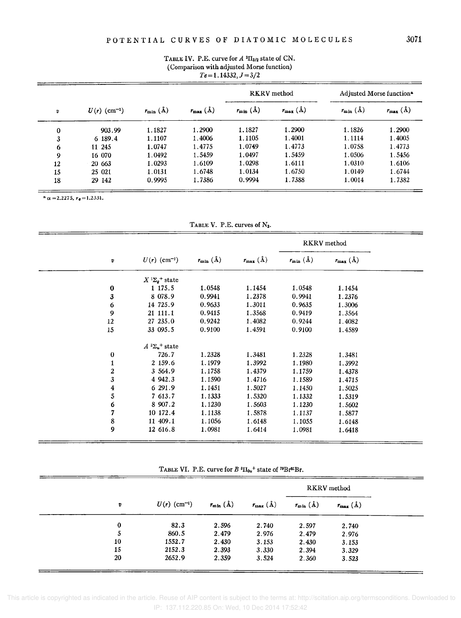|           |                            |                        | (Comparison with adjusted Morse function) | $Te = 1.14332, J = 3/2$ |                              |                        |                                      |
|-----------|----------------------------|------------------------|-------------------------------------------|-------------------------|------------------------------|------------------------|--------------------------------------|
|           |                            |                        |                                           |                         | <b>RKRV</b> method           |                        | Adjusted Morse function <sup>®</sup> |
| $\pmb{v}$ | $U(r)$ (cm <sup>-1</sup> ) | $r_{\min}(\text{\AA})$ | $r_{\text{max}}(\text{\AA})$              | $r_{\min}(\text{\AA})$  | $r_{\text{max}}(\text{\AA})$ | $r_{\min}(\text{\AA})$ | $r_{\text{max}}(\text{\AA})$         |
| $\bf{0}$  | 903.99                     | 1.1827                 | 1.2900                                    | 1.1827                  | 1.2900                       | 1.1826                 | 1.2900                               |
| 3         | 6 189.4                    | 1.1107                 | 1.4006                                    | 1.1105                  | 1.4001                       | 1.1114                 | 1.4005                               |
| 6         | 11 245                     | 1.0747                 | 1.4775                                    | 1.0749                  | 1.4773                       | 1.0758                 | 1.4773                               |
| 9         | 16 070                     | 1.0492                 | 1.5459                                    | 1.0497                  | 1.5459                       | 1.0506                 | 1.5456                               |
| 12        | 20 663                     | 1.0293                 | 1.6109                                    | 1.0298                  | 1.6111                       | 1.0310                 | 1.6106                               |
| 15        | 25 021                     | 1.0131                 | 1.6748                                    | 1.0134                  | 1.6750                       | 1.0149                 | 1.6744                               |
| 18        | 29 142                     | 0.9995                 | 1.7386                                    | 0.9994                  | 1.7388                       | 1.0014                 | 1.7382                               |

# TABLE IV. P.E. curve for  $A^{2}\Pi_{3/2}$  state of CN.

 $a = 2.2275$ ,  $r_e = 1.2331$ .

TABLE V. P.E. curves of  $N_2$ .

|                         |                                      |                        |                              |                       | <b>RKRV</b> method           |  |
|-------------------------|--------------------------------------|------------------------|------------------------------|-----------------------|------------------------------|--|
| v                       | $U(r)$ (cm <sup>-1</sup> )           | $r_{\min}(\mathbf{A})$ | $r_{\text{max}}(\text{\AA})$ | $r_{\min}(\tilde{A})$ | $r_{\text{max}}(\text{\AA})$ |  |
|                         | $X^{1}\Sigma_{q}$ <sup>+</sup> state |                        |                              |                       |                              |  |
| $\pmb{0}$               | 1 175.5                              | 1.0548                 | 1.1454                       | 1.0548                | 1.1454                       |  |
| 3                       | 8 078.9                              | 0.9941                 | 1.2378                       | 0.9941                | 1.2376                       |  |
| 6                       | 14 725.9                             | 0.9633                 | 1.3011                       | 0.9635                | 1.3006                       |  |
| 9                       | 21 111.1                             | 0.9415                 | 1.3568                       | 0.9419                | 1.3564                       |  |
| 12                      | 27 235.0                             | 0.9242                 | 1.4082                       | 0.9244                | 1.4082                       |  |
| 15                      | 33 095.5                             | 0.9100                 | 1.4591                       | 0.9100                | 1.4589                       |  |
|                         | $A^{3}\Sigma_{u}$ <sup>+</sup> state |                        |                              |                       |                              |  |
| $\pmb{0}$               | 726.7                                | 1.2328                 | 1.3481                       | 1.2328                | 1.3481                       |  |
| $\mathbf{1}$            | 2 159.6                              | 1.1979                 | 1.3992                       | 1.1980                | 1.3992                       |  |
| $\boldsymbol{2}$        | 3 564.9                              | 1.1758                 | 1.4379                       | 1.1759                | 1.4378                       |  |
| 3                       | 4 942.3                              | 1.1590                 | 1.4716                       | 1.1589                | 1.4715                       |  |
| $\overline{\mathbf{4}}$ | 6 291.9                              | 1.1451                 | 1.5027                       | 1.1450                | 1.5025                       |  |
| 5                       | 7 613.7                              | 1.1333                 | 1.5320                       | 1.1332                | 1.5319                       |  |
| 6                       | 8 907.2                              | 1.1230                 | 1.5603                       | 1.1230                | 1.5602                       |  |
| 7                       | 10 172.4                             | 1.1138                 | 1.5878                       | 1.1137                | 1.5877                       |  |
| 8                       | 11 409.1                             | 1.1056                 | 1.6148                       | 1.1055                | 1.6148                       |  |
| $\boldsymbol{9}$        | 12 616.8                             | 1.0981                 | 1.6414                       | 1.0981                | 1.6418                       |  |
|                         |                                      |                        |                              |                       |                              |  |

TABLE VI. P.E. curve for  $B^3\Pi_{0u}$ <sup>+</sup> state of <sup>79</sup>Br<sup>81</sup>Br.

|    |                            |                                   |                              | RKRV method            |                              |
|----|----------------------------|-----------------------------------|------------------------------|------------------------|------------------------------|
| v  | $U(r)$ (cm <sup>-1</sup> ) | $r_{\min}(\mathring{\mathrm{A}})$ | $r_{\text{max}}(\text{\AA})$ | $r_{\min}(\text{\AA})$ | $r_{\text{max}}(\text{\AA})$ |
| 0  | 82.3                       | 2.596                             | 2.740                        | 2.597                  | 2.740                        |
| 5  | 860.5                      | 2.479                             | 2.976                        | 2.479                  | 2.976                        |
| 10 | 1552.7                     | 2.430                             | 3.153                        | 2.430                  | 3.153                        |
| 15 | 2152.3                     | 2.393                             | 3.330                        | 2.394                  | 3.329                        |
| 20 | 2652.9                     | 2.359                             | 3.524                        | 2.360                  | 3.523                        |

 This article is copyrighted as indicated in the article. Reuse of AIP content is subject to the terms at: http://scitation.aip.org/termsconditions. Downloaded to IP: 137.112.220.85 On: Wed, 10 Dec 2014 17:52:42